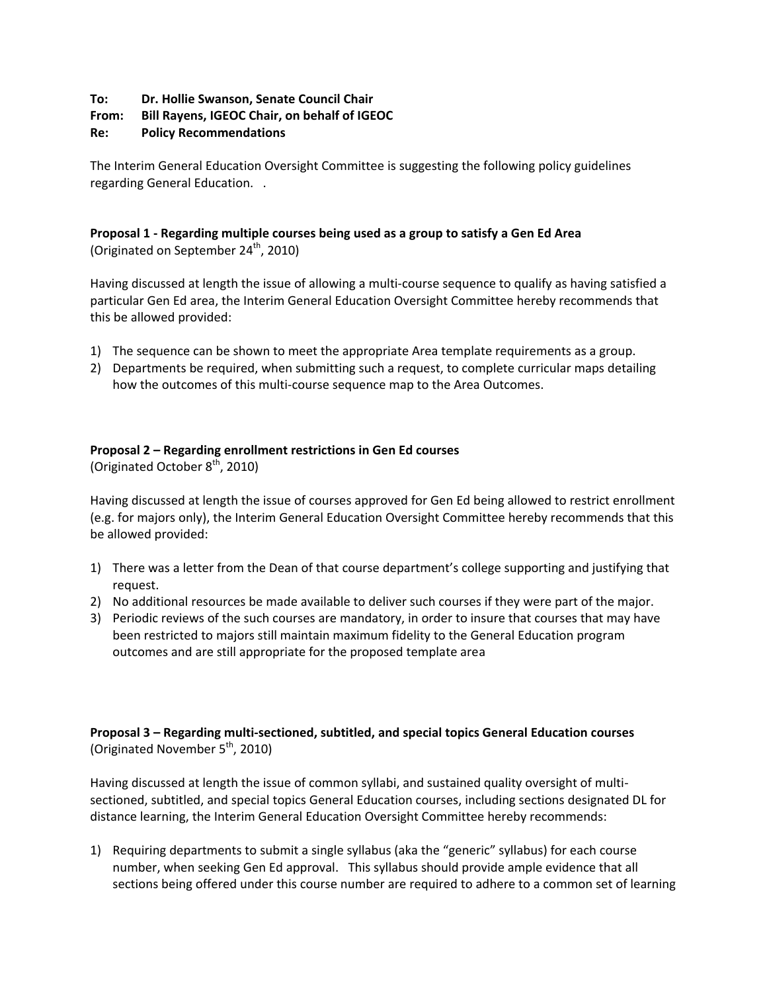# **To: Dr. Hollie Swanson, Senate Council Chair**

# **From: Bill Rayens, IGEOC Chair, on behalf of IGEOC**

# **Re: Policy Recommendations**

The Interim General Education Oversight Committee is suggesting the following policy guidelines regarding General Education. .

# **Proposal 1 - Regarding multiple courses being used as a group to satisfy a Gen Ed Area** (Originated on September  $24^{th}$ , 2010)

Having discussed at length the issue of allowing a multi-course sequence to qualify as having satisfied a particular Gen Ed area, the Interim General Education Oversight Committee hereby recommends that this be allowed provided:

- 1) The sequence can be shown to meet the appropriate Area template requirements as a group.
- 2) Departments be required, when submitting such a request, to complete curricular maps detailing how the outcomes of this multi-course sequence map to the Area Outcomes.

# **Proposal 2 – Regarding enrollment restrictions in Gen Ed courses**

(Originated October  $8<sup>th</sup>$ , 2010)

Having discussed at length the issue of courses approved for Gen Ed being allowed to restrict enrollment (e.g. for majors only), the Interim General Education Oversight Committee hereby recommends that this be allowed provided:

- 1) There was a letter from the Dean of that course department's college supporting and justifying that request.
- 2) No additional resources be made available to deliver such courses if they were part of the major.
- 3) Periodic reviews of the such courses are mandatory, in order to insure that courses that may have been restricted to majors still maintain maximum fidelity to the General Education program outcomes and are still appropriate for the proposed template area

# **Proposal 3 – Regarding multi-sectioned, subtitled, and special topics General Education courses** (Originated November  $5<sup>th</sup>$ , 2010)

Having discussed at length the issue of common syllabi, and sustained quality oversight of multisectioned, subtitled, and special topics General Education courses, including sections designated DL for distance learning, the Interim General Education Oversight Committee hereby recommends:

1) Requiring departments to submit a single syllabus (aka the "generic" syllabus) for each course number, when seeking Gen Ed approval. This syllabus should provide ample evidence that all sections being offered under this course number are required to adhere to a common set of learning